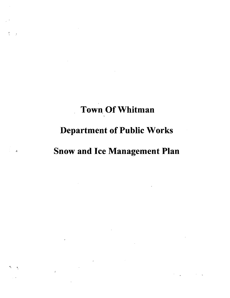# Town Of Whitman

 $\mathcal{L}^{\text{max}}_{\text{max}}$  , where  $\mathcal{L}^{\text{max}}_{\text{max}}$ 

## Department of Public Works

### Snow and Ice Management Plan

 $\label{eq:2.1} \mathcal{L}(\mathcal{L}) = \mathcal{L}(\mathcal{L}) \mathcal{L}(\mathcal{L}) = \mathcal{L}(\mathcal{L}) \mathcal{L}(\mathcal{L}) \mathcal{L}(\mathcal{L})$ 

 $\label{eq:2.1} \frac{1}{\sqrt{2}}\int_{\mathbb{R}^3}\frac{1}{\sqrt{2}}\left(\frac{1}{\sqrt{2}}\right)^2\frac{1}{\sqrt{2}}\left(\frac{1}{\sqrt{2}}\right)^2\frac{1}{\sqrt{2}}\left(\frac{1}{\sqrt{2}}\right)^2.$ 

 $\label{eq:2.1} \mathbf{z} = \begin{bmatrix} \mathbf{z} & \mathbf{z} \\ \mathbf{z} & \mathbf{z} \end{bmatrix} \begin{bmatrix} \mathbf{z} & \mathbf{z} \\ \mathbf{z} & \mathbf{z} \end{bmatrix}$ 

 $\frac{1}{4}$ 

 $\mathbf{A}_i$ 

 $\mathcal{A}$ 

 $\frac{1}{2}$ 

 $\mathcal{L}^{\text{max}}_{\text{max}}$ 

 $\frac{1}{3}$  ,  $\frac{1}{3}$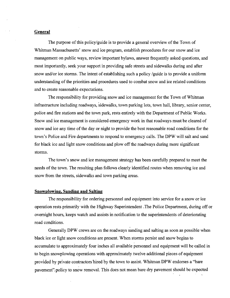#### **General**

The purpose of this policy/guide is to provide a general overview of the Town of Whitman Massachusetts' snow and ice program, establish procedures for our snow and ice management on public ways, review important bylaws, answer frequently asked questions, and most importantly, seek your support in providing safe streets and sidewalks during and after snow and/or ice storms. The intent of establishing such a policy /guide is to provide a uniform understanding of the priorities and procedures used to combat snow and ice related conditions and to create reasonable expectations.

The responsibility for providing snow and ice management for the Town of Whitman infrastructure including roadways, sidewalks, town parking lots, town hall, library, senior center, police and fire stations and the town park, rests entirely with the Department of Public Works. Snow and ice management is considered emergency work in that roadways must be cleared of snow and ice any time of the day or night to provide the best reasonable road conditions for the town's Police and Fire departments to respond to emergency calls. The DPW will salt and sand for black ice and light snow conditions and plow off the roadways during more significant storms.

The town's snow and ice management strategy has been carefully prepared to meet the needs of the town. The resulting plan follows clearly identified routes when removing ice and snow from the streets, sidewalks and town parking areas.

#### **Snowplowing, Sanding and Salting**

The responsibility for ordering personnel and equipment into service for a snow or ice operation rests primarily with the Highway Superintendent .The Police Department, during offor overnight hours, keeps watch and assists in notification to the superintendents of deteriorating road conditions.

Generally DPW crews are on the roadways sanding and salting as soon as possible when black ice or light snow conditions are present. When storms persist and snow begins to accumulate to approximately four inches all available personnel and equipment will be called in to begin snowplowing operations with approximately twelve additional pieces of equipment provided by private contractors bired by the town to assist. Whitman DPW endorses a "bare pavement", policy to snow removal. This does not mean bare dry pavement should be expected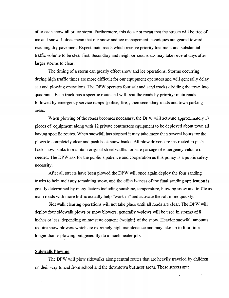after each snowfall or ice storm. Furthermore, this does not mean that the streets will be free of ice and snow. It does mean that our snow and ice management techniques are geared toward reaching dry pavement. Expect main roads which receive priority treatment and substantial traffic volume to be clear first. Secondary and neighborhood roads may take several days after larger storms to clear.

The timing of a storm can greatly effect snow and ice operations. Storms occurring during high traffic times are more difficult for our equipment operators and will generally delay salt and plowing operations. The DPW operates four salt and sand trucks dividing the town into quadrants. Each truck has a specific route and will treat the roads by priority: main roads followed by emergency service ramps {police, fire}, then secondary roads and town parking areas.

When plowing of the roads becomes necessary, the DPW will activate approximately 17 pieces of equipment along with 12 private contractors equipment to be deployed about town all having specific routes. When snowfall has stopped it may take more than several hours for the plows to completely clear and push back snow banks. All plow drivers are instructed to push back snow banks to maintain original street widths for safe passage of emergency vehicle if needed. The DPW ask for the public's patience and cooperation as this policy is a public safety necessity.

After all streets have been plowed the DPW will once again deploy the four sanding trucks to help melt any remaining snow, and the effectiveness of the final sanding application is greatly determined by many factors including sunshine, temperature, blowing snow and traffic as main roads with more traffic actually help "work in" and activate the salt more quickly.

Sidewalk clearing operations will not take place until all roads are clear. The DPW will deploy four sidewalk plows or snow blowers, generally v-plows will be used in storms of 8 inches or less, depending on moisture content {weight} of the snow. Heavier snowfall amounts require snow blowers which are extremely high maintenance and may take up to four times longer than v-plowing but generally do a much neater job.

#### **Sidewalk Plowing**

I

 $\mathbf{r}$ 

The DPW will plow sidewalks along central routes that are heavily traveled by children on their way to and from school and the downtown business areas. These streets are: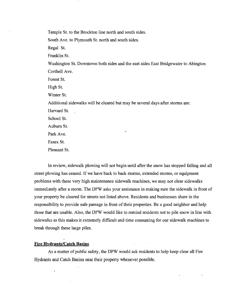Temple St. to the Brockton line north and south sides.

South Ave. to Plymouth St. north and south sides.

Regal St.

Franklin St.

Washington St. Downtown both sides and the east sides East Bridgewater to Abington Corthell Ave.

Forest St.

High St.

Winter St.

Additional sidewalks will be cleared but may be several days after storms are:

Harvard St.

School St.

Auburn St.

Park Ave.

Essex St.

Pleasant St.

In review, sidewalk plowing will not begin until after the snow has stopped falling and all street plowing has ceased. If we have back to back storms, extended storms, or equipment problems with these very high maintenance sidewalk machines, we may not clear sidewalks immediately after a storm. The DPW asks your assistance in making sure the sidewalk in front of your property be cleared for streets not listed above. Residents and businesses share in the responsibility to provide safe passage in front of their properties. Be a good neighbor and help those that are unable. Also, the DPW would like to remind residents not to pile snow in line with sidewalks as this makes it extremely difficult and time consuming for our sidewalk machines to break through these large piles.

#### **Fire Hydrants/Catch Basins**

 $\overline{1}$ 

As a matter of public safety, the DPW would ask residents to help keep clear all Fire Hydrants and Catch Basins neat their property whenever possible.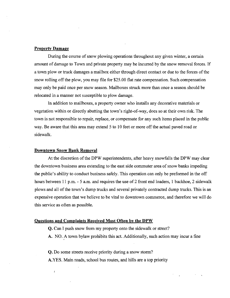#### **Property Damage**

During the course of snow plowing operations throughout any given winter, a certain amount of damage to Town and private property may be incurred by the snow removal forces. If a town plow or truck damages a mailbox either through direct contact or due to the forces of the snow rolling off the plow, you may file for \$25.00 flat rate compensation. Such compensation may only be paid once per snow season. Mailboxes struck more than once a season should be relocated in a manner not susceptible to plow damage.

In addition to mailboxes, a property owner who installs any decorative materials or vegetation within or directly abutting the town's right-of-way, does so at their own risk. The town is not responsible to repair, replace, or compensate for any such items placed in the public way. Be aware that this area may extend 5 to 10 feet or more off the actual paved road or sidewalk.

#### **Downtown Snow Bank Removal**

 $\bar{I}$ 

At the discretion of the DPW superintendents, after heavy snowfalls the DPW may clear the downtown business area extending to the east side commuter area of snow banks impeding the public's ability to conduct business safely. This operation can only be preformed in the off hours between 11 p.m. - 5 a.m. and requires the use of 2 front end loaders, 1 backhoe, 2 sidewalk plows and all of the town's dump trucks and several privately contracted dump trucks. This is an expensive operation that we believe to be vital to downtown commerce, and therefore we will do this service as often as possible.

#### **Questions and Complaints Received Most Often by the DPW**

- **Q.** Can I push snow from my property onto the sidewalk or street?
- A. NO. A town bylaw prohibits this act. Additionally, such action may incur a fine

**Q.** Do some streets receive priority during a snow storm? A.YES. Main roads, school bus routes, and hills are a top priority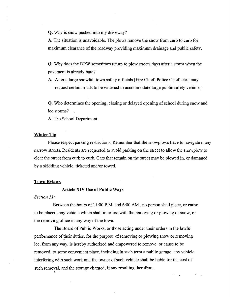Q. Why is snow pushed into my driveway?

A. The situation is unavoidable. The plows remove the snow from curb to curb for maximum clearance of the roadway providing maximum drainage and public safety.

Q. Why does the DPW sometimes return to plow streets days after a storm when the pavement is already bare?

A. After a large snowfall town safety officials [Fire Chief, Police Chief .etc.] may request certain roads to be widened to accommodate large public safety vehicles.

Q. Who determines the opening, closing or delayed opening of school during snow and ice storms?

A. The School Department

#### Winter Tip

Please respect parking restrictions. Remember that the snowplows have to navigate many narrow streets. Residents are requested to avoid parking on the street to allow the snowplow to clear the street from curb to curb. Cars that remain on the street may be plowed in, or damaged by a skidding vehicle, ticketed and/or towed.

#### Town Bylaws

I

#### Article XIV Use **of Public** Ways

#### *Section 11:*

Between the hours of 11:00 P.M. and 6:00 AM., no person shall place, or cause to be placed, any vehicle which shall interfere with the removing or plowing ofsnow, or the removing of ice in any way of the town.

The Board of Public Works, or those acting under their orders in the lawful performance of their duties, for the purpose of removing or plowing snow or removing ~ ice, from any way, is hereby authorized and empowered to remove, or cause to be removed, to some convenient place, including in such term a public garage, any vehicle interfering with such work and the owner of such vehicle shall be liable for the cost of such removal, and the storage charged, if any resulting therefrom.